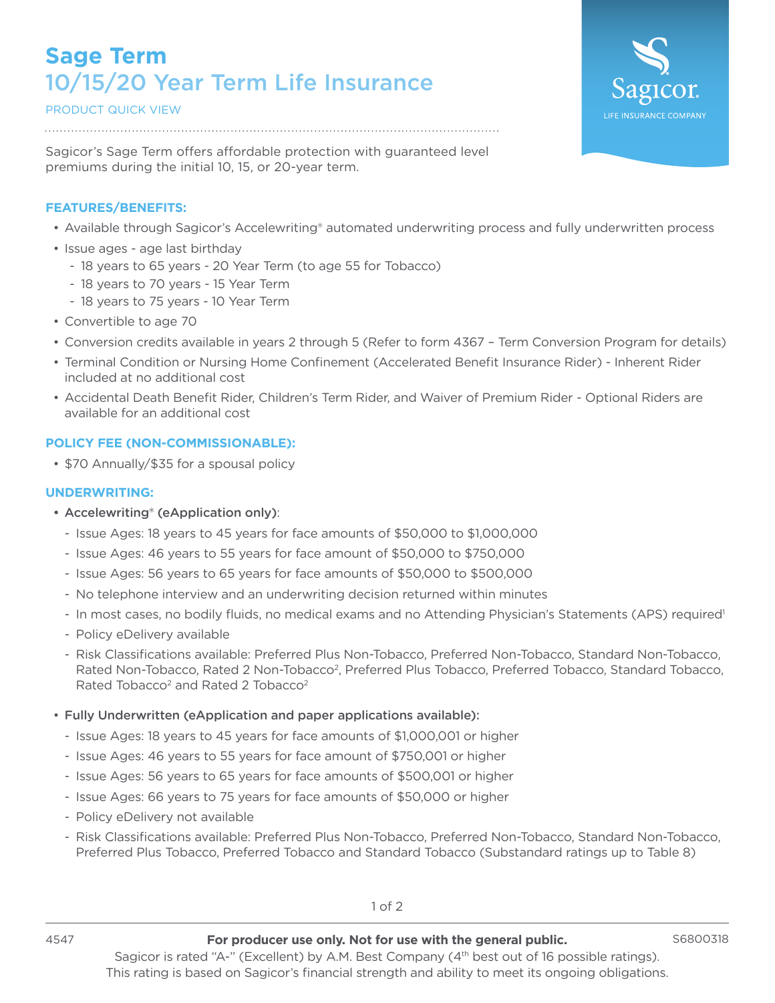# **Sage Term** 10/15/20 Year Term Life Insurance

## PRODUCT QUICK VIEW

Sagicor's Sage Term offers affordable protection with guaranteed level premiums during the initial 10, 15, or 20-year term.

## **FEATURES/BENEFITS:**

- Available through Sagicor's Accelewriting® automated underwriting process and fully underwritten process
- Issue ages age last birthday
	- 18 years to 65 years 20 Year Term (to age 55 for Tobacco)
	- 18 years to 70 years 15 Year Term
	- 18 years to 75 years 10 Year Term
- Convertible to age 70
- Conversion credits available in years 2 through 5 (Refer to form 4367 Term Conversion Program for details)
- Terminal Condition or Nursing Home Confinement (Accelerated Benefit Insurance Rider) Inherent Rider included at no additional cost
- Accidental Death Benefit Rider, Children's Term Rider, and Waiver of Premium Rider Optional Riders are available for an additional cost

## **POLICY FEE (NON-COMMISSIONABLE):**

• \$70 Annually/\$35 for a spousal policy

#### **UNDERWRITING:**

- Accelewriting® (eApplication only):
	- Issue Ages: 18 years to 45 years for face amounts of \$50,000 to \$1,000,000
	- Issue Ages: 46 years to 55 years for face amount of \$50,000 to \$750,000
	- Issue Ages: 56 years to 65 years for face amounts of \$50,000 to \$500,000
	- No telephone interview and an underwriting decision returned within minutes
	- In most cases, no bodily fluids, no medical exams and no Attending Physician's Statements (APS) required<sup>1</sup>
	- Policy eDelivery available
	- Risk Classifications available: Preferred Plus Non-Tobacco, Preferred Non-Tobacco, Standard Non-Tobacco, Rated Non-Tobacco, Rated 2 Non-Tobacco<sup>2</sup>, Preferred Plus Tobacco, Preferred Tobacco, Standard Tobacco, Rated Tobacco<sup>2</sup> and Rated 2 Tobacco<sup>2</sup>

#### • Fully Underwritten (eApplication and paper applications available):

- Issue Ages: 18 years to 45 years for face amounts of \$1,000,001 or higher
- Issue Ages: 46 years to 55 years for face amount of \$750,001 or higher
- Issue Ages: 56 years to 65 years for face amounts of \$500,001 or higher
- Issue Ages: 66 years to 75 years for face amounts of \$50,000 or higher
- Policy eDelivery not available
- Risk Classifications available: Preferred Plus Non-Tobacco, Preferred Non-Tobacco, Standard Non-Tobacco, Preferred Plus Tobacco, Preferred Tobacco and Standard Tobacco (Substandard ratings up to Table 8)